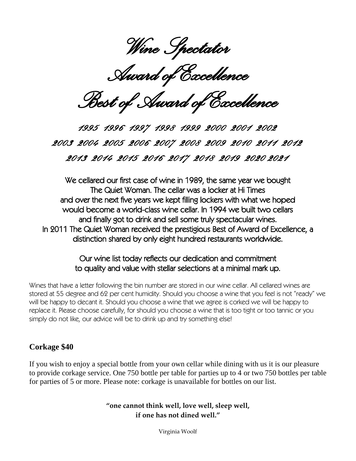Wine Spectator

*Award of Excellence* 

*Best of Award of Excellence* 

*1995 1996 1997 1998 1999 2000 2001 2002 2003 2004 2005 2006 2007 2008 2009 2010 2011 2012 2013 2014 2015 2016 2017 2018 2019 2020 2021* 

We cellared our first case of wine in 1989, the same year we bought The Quiet Woman. The cellar was a locker at Hi Times and over the next five years we kept filling lockers with what we hoped would become a world-class wine cellar. In 1994 we built two cellars and finally got to drink and sell some truly spectacular wines. In 2011 The Quiet Woman received the prestigious Best of Award of Excellence, a distinction shared by only eight hundred restaurants worldwide.

#### Our wine list today reflects our dedication and commitment to quality and value with stellar selections at a minimal mark up.

Wines that have a letter following the bin number are stored in our wine cellar. All cellared wines are stored at 55 degree and 62 per cent humidity. Should you choose a wine that you feel is not "ready" we will be happy to decant it. Should you choose a wine that we agree is corked we will be happy to replace it. Please choose carefully, for should you choose a wine that is too tight or too tannic or you simply do not like, our advice will be to drink up and try something else!

#### **Corkage \$40**

If you wish to enjoy a special bottle from your own cellar while dining with us it is our pleasure to provide corkage service. One 750 bottle per table for parties up to 4 or two 750 bottles per table for parties of 5 or more. Please note: corkage is unavailable for bottles on our list.

> **"one cannot think well, love well, sleep well, if one has not dined well."**

> > Virginia Woolf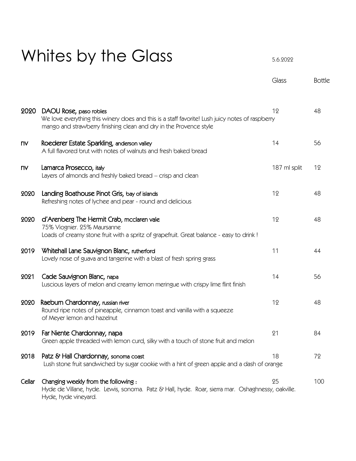# Whites by the Glass  $5.6.2022$

|           |                                                                                                                                                                                                 | Glass        | <b>Bottle</b> |
|-----------|-------------------------------------------------------------------------------------------------------------------------------------------------------------------------------------------------|--------------|---------------|
| 2020      | DAOU Rose, paso robles<br>We love everything this winery does and this is a staff favorite! Lush juicy notes of raspberry<br>mango and strawberry finishing clean and dry in the Provence style | 12           | 48            |
| <b>nv</b> | Roederer Estate Sparkling, anderson valley<br>A full flavored brut with notes of walnuts and fresh baked bread                                                                                  | 14           | 56            |
| <b>NV</b> | Lamarca Prosecco, italy<br>Layers of almonds and freshly baked bread - crisp and clean                                                                                                          | 187 ml split | 12            |
| 2020      | Landing Boathouse Pinot Gris, bay of islands<br>Refreshing notes of lychee and pear - round and delicious                                                                                       | 12           | 48            |
| 2020      | d'Arenberg The Hermit Crab, mcclaren vale<br>75% Viognier. 25% Maursanne<br>Loads of creamy stone fruit with a spritz of grapefruit. Great balance - easy to drink !                            | 12           | 48            |
| 2019      | Whitehall Lane Sauvignon Blanc, rutherford<br>Lovely nose of guava and tangerine with a blast of fresh spring grass                                                                             | 11           | 44            |
| 2021      | Cade Sauvignon Blanc, napa<br>Luscious layers of melon and creamy lemon meringue with crispy lime flint finish                                                                                  | 14           | 56            |
| 2020      | Raeburn Chardonnay, russian river<br>Round ripe notes of pineapple, cinnamon toast and vanilla with a squeeze<br>of Meyer lemon and hazelnut                                                    | 12           | 48            |
| 2019      | Far Niente Chardonnay, napa<br>Green apple threaded with lemon curd, silky with a touch of stone fruit and melon                                                                                | 21           | 84            |
| 2018      | Patz & Hall Chardonnay, sonoma coast<br>Lush stone fruit sandwiched by sugar cookie with a hint of green apple and a dash of orange                                                             | 18           | 72            |
| Cellar    | Changing weekly from the following:<br>Hyde de Villane, hyde. Lewis, sonoma. Patz & Hall, hyde. Roar, sierra mar. Oshaghnessy, oakville.<br>Hyde, hyde vineyard.                                | 25           | 100           |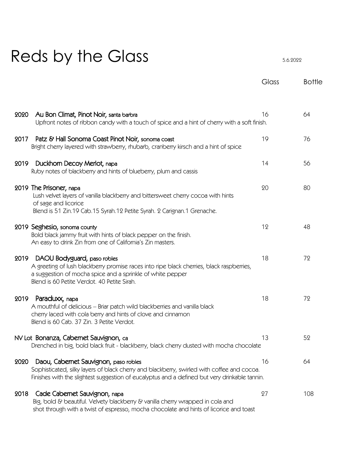# Reds by the Glass 5.6.2022

|                                                                                                                                                                                                                                              | Glass | <b>Bottle</b> |
|----------------------------------------------------------------------------------------------------------------------------------------------------------------------------------------------------------------------------------------------|-------|---------------|
|                                                                                                                                                                                                                                              |       |               |
| Au Bon Climat, Pinot Noir, santa barbra<br>2020<br>Upfront notes of ribbon candy with a touch of spice and a hint of cherry with a soft finish.                                                                                              | 16    | 64            |
| Patz & Hall Sonoma Coast Pinot Noir, sonoma coast<br>2017<br>Bright cherry layered with strawberry, rhubarb, cranberry kirsch and a hint of spice                                                                                            | 19    | 76            |
| Duckhorn Decoy Merlot, napa<br>2019<br>Ruby notes of blackberry and hints of blueberry, plum and cassis                                                                                                                                      | 14    | 56            |
| 2019 The Prisoner, napa<br>Lush velvet layers of vanilla blackberry and bittersweet cherry cocoa with hints<br>of sage and licorice<br>Blend is 51 Zin.19 Cab.15 Syrah.12 Petite Syrah. 2 Carignan.1 Grenache.                               | 20    | 80            |
| 2019 Seghesio, sonoma county<br>Bold black jammy fruit with hints of black pepper on the finish.<br>An easy to drink Zin from one of California's Zin masters.                                                                               | 12    | 48            |
| DAOU Bodyguard, paso robles<br>2019<br>A greeting of lush blackberry promise races into ripe black cherries, black raspberries,<br>a suggestion of mocha spice and a sprinkle of white pepper<br>Blend is 60 Petite Verdot. 40 Petite Sirah. | 18    | 72            |
| Paraduxx, <sub>napa</sub><br>2019<br>A mouthful of delicious - Briar patch wild blackberries and vanilla black<br>cherry laced with cola berry and hints of clove and cinnamon<br>Blend is 60 Cab. 37 Zin. 3 Petite Verdot.                  | 18    | 72            |
| NV Lot Bonanza, Cabernet Sauvignon, ca<br>Drenched in big, bold black fruit - blackberry, black cherry dusted with mocha chocolate                                                                                                           | 13    | 52            |
| Daou, Cabernet Sauvignon, paso robles<br>2020<br>Sophisticated, silky layers of black cherry and blackberry, swirled with coffee and cocoa.<br>Finishes with the slightest suggestion of eucalyptus and a defined but very drinkable tannin. | 16    | 64            |
| Cade Cabernet Sauvignon, napa<br>2018<br>Big, bold & beautiful. Velvety blackberry & vanilla cherry wrapped in cola and<br>shot through with a twist of espresso, mocha chocolate and hints of licorice and toast                            | 27    | 108           |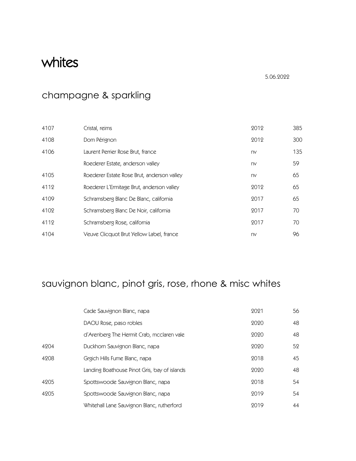# whites

5.06.2022

# champagne & sparkling

| 4107 | Cristal, reims                             | 2012 | 385 |
|------|--------------------------------------------|------|-----|
| 4108 | Dom Pérignon                               | 2012 | 300 |
| 4106 | Laurent Perrier Rose Brut, france          | nv   | 135 |
|      | Roederer Estate, anderson valley           | nv   | 59  |
| 4105 | Roederer Estate Rose Brut, anderson valley | nv   | 65  |
| 4112 | Roederer L'Ermitage Brut, anderson valley  | 2012 | 65  |
| 4109 | Schramsberg Blanc De Blanc, california     | 2017 | 65  |
| 4102 | Schramsberg Blanc De Noir, california      | 2017 | 70  |
| 4112 | Schramsberg Rose, california               | 2017 | 70  |
| 4104 | Veuve Clicquot Brut Yellow Label, france   | nv   | 96  |

# sauvignon blanc, pinot gris, rose, rhone & misc whites

|      | Cade Sauvignon Blanc, napa                   | 2021 | 56 |
|------|----------------------------------------------|------|----|
|      | DAOU Rose, paso robles                       | 2020 | 48 |
|      | d'Arenberg The Hermit Crab, mcclaren vale    | 2020 | 48 |
| 4204 | Duckhorn Sauvignon Blanc, napa               | 2020 | 52 |
| 4208 | Grgich Hills Fume Blanc, napa                | 2018 | 45 |
|      | Landing Boathouse Pinot Gris, bay of islands | 2020 | 48 |
| 4205 | Spottswoode Sauvignon Blanc, napa            | 2018 | 54 |
| 4205 | Spottswoode Sauvignon Blanc, napa            | 2019 | 54 |
|      | Whitehall Lane Sauvignon Blanc, rutherford   | 9019 | 44 |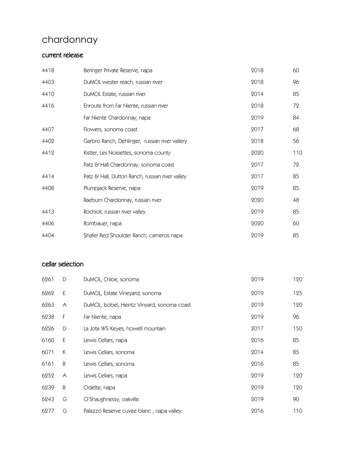# chardonnay

#### current release

| 4418 | Beringer Private Reserve, napa                  | 2018 | 60  |
|------|-------------------------------------------------|------|-----|
| 4403 | DuMOL wester reach, russian river               | 2018 | 96  |
| 4410 | DuMOL Estate, russian river                     | 2014 | 85  |
| 4416 | Enroute from Far Niente, russian river          | 2018 | 72  |
|      | Far Niente Chardonnay, napa                     | 2019 | 84  |
| 4407 | Flowers, sonoma coast                           | 2017 | 68  |
| 4402 | Garbro Ranch, Dehlinger, russian river vallery  | 2018 | 56  |
| 4412 | Kistler, Les Noisiettes, sonoma county          | 2020 | 110 |
|      | Patz & Hall Chardonnay, sonoma coast            | 2017 | 72  |
| 4414 | Patz & Hall, Dutton Ranch, russian river valley | 2017 | 85  |
| 4408 | Plumpjack Reserve, napa                         | 2019 | 85  |
|      | Raeburn Chardonnay, russian river               | 2020 | 48  |
| 4413 | Rochioli, russian river valley                  | 2019 | 85  |
| 4406 | Rombauer, napa                                  | 2020 | 60  |
| 4404 | Shafer Red Shoulder Ranch, carneros napa        | 2019 | 85  |

#### cellar selection

| 6261 | D         | DuMOL, Chloe, sonoma                        | 2019 | 120 |
|------|-----------|---------------------------------------------|------|-----|
| 6262 | E         | DuMOL, Estate Vineyard, sonoma              | 2019 | 125 |
| 6263 | A         | DuMOL, Isobel, Heintz Vinyard, sonoma coast | 2019 | 120 |
| 6238 | F         | Far Niente, napa                            | 2019 | 96  |
| 6226 | D         | La Jota WS Keyes, howell mountain           | 2017 | 150 |
| 6160 | E         | Lewis Cellars, napa                         | 2016 | 85  |
| 6071 | К         | Lewis Cellars, sonoma                       | 2014 | 85  |
| 6161 | $\sf B$   | Lewis Cellars, sonoma                       | 2016 | 85  |
| 6252 | $\forall$ | Lewis Cellars, napa                         | 2019 | 120 |
| 6239 | $\sf B$   | Odette, napa                                | 2019 | 120 |
| 6243 | G         | O'Shaughnessy, oakville                     | 2019 | 90  |
| 6277 | G         | Palazzo Reserve cuvee blanc, napa valley    | 2016 | 110 |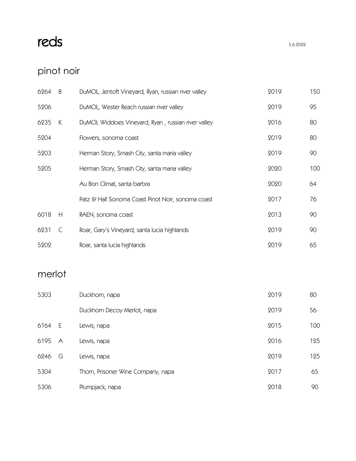# reds  $12.6.2022$

# pinot noir

| 6264 | B | DuMOL, Jentoft Vineyard, Ryan, russian river valley | 2019 | 150 |
|------|---|-----------------------------------------------------|------|-----|
| 5206 |   | DuMOL, Wester Reach russian river valley            | 2019 | 95  |
| 6235 | К | DuMOL Widdoes Vineyard, Ryan, russian river valley  | 2016 | 80  |
| 5204 |   | Flowers, sonoma coast                               | 2019 | 80  |
| 5203 |   | Herman Story, Smash City, santa maria valley        | 2019 | 90  |
| 5205 |   | Herman Story, Smash City, santa maria valley        | 2020 | 100 |
|      |   | Au Bon Climat, santa barbra                         | 2020 | 64  |
|      |   | Patz & Hall Sonoma Coast Pinot Noir, sonoma coast   | 2017 | 76  |
| 6018 | H | RAEN, sonoma coast                                  | 2013 | 90  |
| 6231 | C | Roar, Gary's Vineyard, santa lucia highlands        | 2019 | 90  |
| 5202 |   | Roar, santa lucia highlands                         | 2019 | 65  |

## merlot

| 5303 |           | Duckhorn, napa                     | 2019 | 80  |
|------|-----------|------------------------------------|------|-----|
|      |           | Duckhorn Decoy Merlot, napa        | 2019 | 56  |
| 6164 | - E       | Lewis, napa                        | 2015 | 100 |
| 6195 | $\forall$ | Lewis, napa                        | 2016 | 125 |
| 6246 | G         | Lewis, napa                        | 2019 | 125 |
| 5304 |           | Thorn, Prisoner Wine Company, napa | 2017 | 65  |
| 5306 |           | Plumpjack, napa                    | 2018 | 90  |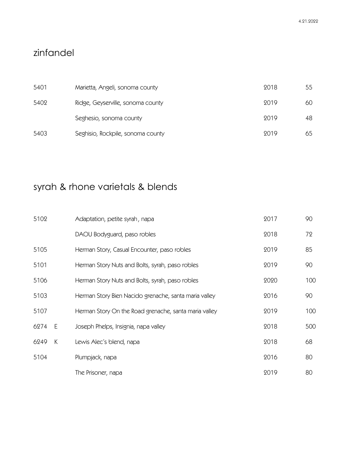### zinfandel

| 5401 | Marietta, Angeli, sonoma county   | 2018 | 55 |
|------|-----------------------------------|------|----|
| 5402 | Ridge, Geyserville, sonoma county | 9019 | 60 |
|      | Seghesio, sonoma county           | 9019 | 48 |
| 5403 | Seghisio, Rockpile, sonoma county | 9019 | 65 |

# syrah & rhone varietals & blends

| 5102 |   | Adaptation, petite syrah, napa                        | 2017 | 90  |
|------|---|-------------------------------------------------------|------|-----|
|      |   | DAOU Bodyguard, paso robles                           | 2018 | 72  |
| 5105 |   | Herman Story, Casual Encounter, paso robles           | 2019 | 85  |
| 5101 |   | Herman Story Nuts and Bolts, syrah, paso robles       | 2019 | 90  |
| 5106 |   | Herman Story Nuts and Bolts, syrah, paso robles       | 2020 | 100 |
| 5103 |   | Herman Story Bien Nacido grenache, santa maria valley | 2016 | 90  |
| 5107 |   | Herman Story On the Road grenache, santa maria valley | 2019 | 100 |
| 6274 | E | Joseph Phelps, Insignia, napa valley                  | 2018 | 500 |
| 6249 | К | Lewis Alec's blend, napa                              | 2018 | 68  |
| 5104 |   | Plumpjack, napa                                       | 2016 | 80  |
|      |   | The Prisoner, napa                                    | 2019 | 80  |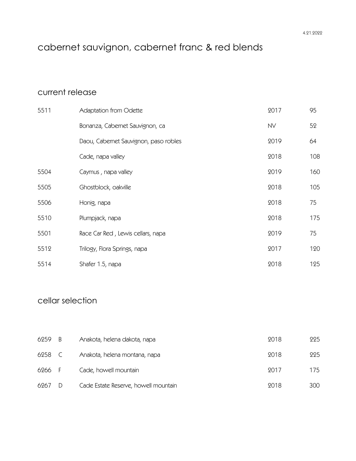# cabernet sauvignon, cabernet franc & red blends

#### current release

| 5511 | <b>Adaptation from Odette</b>         | 2017      | 95  |
|------|---------------------------------------|-----------|-----|
|      | Bonanza, Cabernet Sauvignon, ca       | <b>NV</b> | 52  |
|      | Daou, Cabernet Sauvignon, paso robles | 2019      | 64  |
|      | Cade, napa valley                     | 2018      | 108 |
| 5504 | Caymus, napa valley                   | 2019      | 160 |
| 5505 | Ghostblock, oakville                  | 2018      | 105 |
| 5506 | Honig, napa                           | 2018      | 75  |
| 5510 | Plumpjack, napa                       | 2018      | 175 |
| 5501 | Race Car Red, Lewis cellars, napa     | 2019      | 75  |
| 5512 | Trilogy, Flora Springs, napa          | 2017      | 120 |
| 5514 | Shafer 1.5, napa                      | 2018      | 125 |

### cellar selection

| 6259   | - B           | Anakota, helena dakota, napa         | 2018 | 225 |
|--------|---------------|--------------------------------------|------|-----|
| 6258   | $\mathcal{C}$ | Anakota, helena montana, napa        | 2018 | 225 |
| 6266 F |               | Cade, howell mountain                | 9017 | 175 |
| 6267   | - D           | Cade Estate Reserve, howell mountain | 9018 | 300 |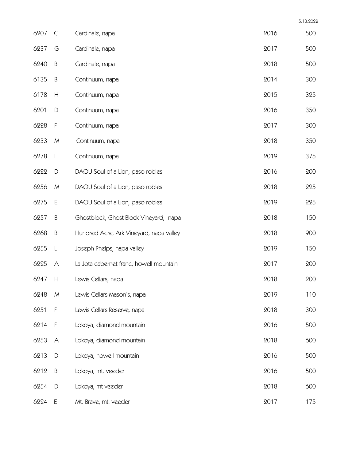| 6207 | $\mathsf{C}$  | Cardinale, napa                         | 2016 | 500 |
|------|---------------|-----------------------------------------|------|-----|
| 6237 | G             | Cardinale, napa                         | 2017 | 500 |
| 6240 | $\sf B$       | Cardinale, napa                         | 2018 | 500 |
| 6135 | $\sf B$       | Continuum, napa                         | 2014 | 300 |
| 6178 | H             | Continuum, napa                         | 2015 | 325 |
| 6201 | D             | Continuum, napa                         | 2016 | 350 |
| 6228 | F             | Continuum, napa                         | 2017 | 300 |
| 6233 | M             | Continuum, napa                         | 2018 | 350 |
| 6278 | L             | Continuum, napa                         | 2019 | 375 |
| 6222 | $\mathsf D$   | DAOU Soul of a Lion, paso robles        | 2016 | 200 |
| 6256 | M             | DAOU Soul of a Lion, paso robles        | 2018 | 225 |
| 6275 | E             | DAOU Soul of a Lion, paso robles        | 2019 | 225 |
| 6257 | $\sf B$       | Ghostblock, Ghost Block Vineyard, napa  | 2018 | 150 |
| 6268 | B             | Hundred Acre, Ark Vineyard, napa valley | 2018 | 900 |
| 6255 | L             | Joseph Phelps, napa valley              | 2019 | 150 |
| 6225 | A             | La Jota cabernet franc, howell mountain | 2017 | 200 |
| 6247 | H             | Lewis Cellars, napa                     | 2018 | 200 |
| 6248 | M             | Lewis Cellars Mason's, napa             | 2019 | 110 |
| 6251 | F             | Lewis Cellars Reserve, napa             | 2018 | 300 |
| 6214 | F             | Lokoya, diamond mountain                | 2016 | 500 |
| 6253 | $\forall$     | Lokoya, diamond mountain                | 2018 | 600 |
| 6213 | $\mathsf D$   | Lokoya, howell mountain                 | 2016 | 500 |
| 6212 | B             | Lokoya, mt. veeder                      | 2016 | 500 |
| 6254 | $\mathsf{D}%$ | Lokoya, mt veeder                       | 2018 | 600 |
| 6224 | $\mathsf E$   | Mt. Brave, mt. veeder                   | 2017 | 175 |

5.13.2022